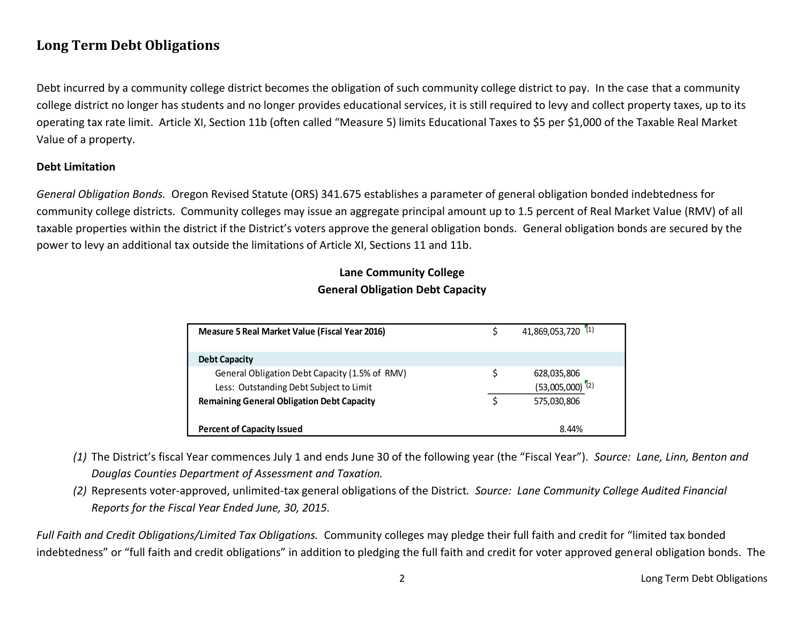# **Long Term Debt Obligations**

Debt incurred by a community college district becomes the obligation of such community college district to pay. In the case that a community college district no longer has students and no longer provides educational services, it is still required to levy and collect property taxes, up to its operating tax rate limit. Article XI, Section 11b (often called "Measure 5) limits Educational Taxes to \$5 per \$1,000 of the Taxable Real Market Value of a property.

#### **Debt Limitation**

*General Obligation Bonds.* Oregon Revised Statute (ORS) 341.675 establishes a parameter of general obligation bonded indebtedness for community college districts. Community colleges may issue an aggregate principal amount up to 1.5 percent of Real Market Value (RMV) of all taxable properties within the district if the District's voters approve the general obligation bonds. General obligation bonds are secured by the power to levy an additional tax outside the limitations of Article XI, Sections 11 and 11b.

## **Lane Community College General Obligation Debt Capacity**

| <b>Measure 5 Real Market Value (Fiscal Year 2016)</b> | 41,869,053,720 (1)            |
|-------------------------------------------------------|-------------------------------|
| <b>Debt Capacity</b>                                  |                               |
| General Obligation Debt Capacity (1.5% of RMV)        | 628,035,806                   |
| Less: Outstanding Debt Subject to Limit               | $(53,005,000)$ <sup>(2)</sup> |
| <b>Remaining General Obligation Debt Capacity</b>     | 575.030.806                   |
|                                                       |                               |
| <b>Percent of Capacity Issued</b>                     | 8.44%                         |

- *(1)* The District's fiscal Year commences July 1 and ends June 30 of the following year (the "Fiscal Year"). *Source: Lane, Linn, Benton and Douglas Counties Department of Assessment and Taxation.*
- *(2)* Represents voter-approved, unlimited-tax general obligations of the District*. Source: Lane Community College Audited Financial Reports for the Fiscal Year Ended June, 30, 2015.*

*Full Faith and Credit Obligations/Limited Tax Obligations.* Community colleges may pledge their full faith and credit for "limited tax bonded indebtedness" or "full faith and credit obligations" in addition to pledging the full faith and credit for voter approved general obligation bonds. The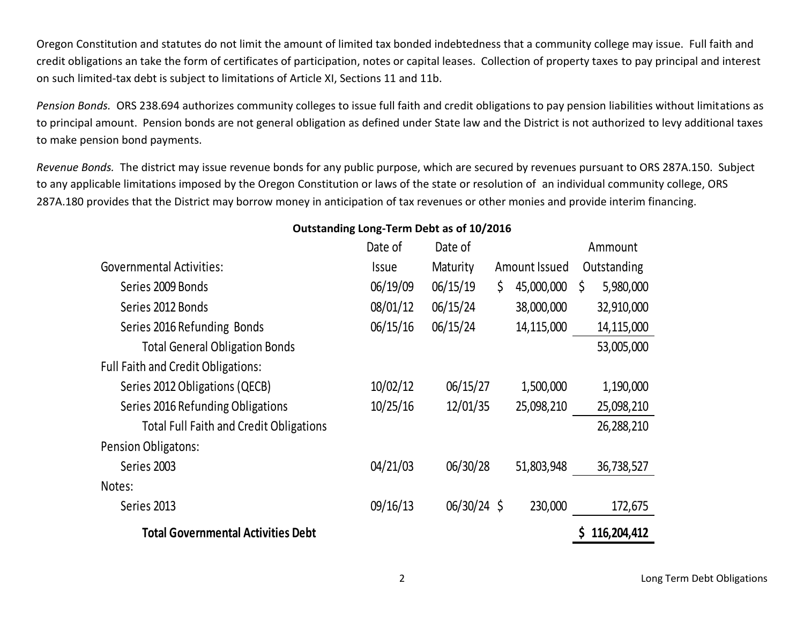Oregon Constitution and statutes do not limit the amount of limited tax bonded indebtedness that a community college may issue. Full faith and credit obligations an take the form of certificates of participation, notes or capital leases. Collection of property taxes to pay principal and interest on such limited-tax debt is subject to limitations of Article XI, Sections 11 and 11b.

*Pension Bonds.* ORS 238.694 authorizes community colleges to issue full faith and credit obligations to pay pension liabilities without limitations as to principal amount. Pension bonds are not general obligation as defined under State law and the District is not authorized to levy additional taxes to make pension bond payments.

*Revenue Bonds.* The district may issue revenue bonds for any public purpose, which are secured by revenues pursuant to ORS 287A.150. Subject to any applicable limitations imposed by the Oregon Constitution or laws of the state or resolution of an individual community college, ORS 287A.180 provides that the District may borrow money in anticipation of tax revenues or other monies and provide interim financing.

### Governmental Activities: Date of Issue Date of Maturity Amount Issued Ammount **Outstanding** Series 2009 Bonds 6.000 Bonds 6.000 Bonds 6.000 Bonds 6.000 Bonds 6.000 Bonds 6.000 Bonds 6.000 Bonds 6.000 Bonds 6.000 Bonds 6.000 Bonds 6.000 Bonds 6.000 Bonds 6.000 Bonds 6.000 Bonds 6.000 Bonds 6.000 Bonds 6.000 Bonds Series 2012 Bonds 68/01/12 06/15/24 38,000,000 32,910,000 Series 2016 Refunding Bonds  $06/15/16$   $06/15/24$  14,115,000 14,115,000 Total General Obligation Bonds 63,005,000 53,005,000 Full Faith and Credit Obligations: Series 2012 Obligations (QECB)  $10/02/12$   $06/15/27$   $1,500,000$   $1,190,000$ Series 2016 Refunding Obligations 10/25/16 12/01/35 25,098,210 25,098,210 Total Full Faith and Credit Obligations 26,288,210 Pension Obligatons: Series 2003 04/21/03 06/30/28 51,803,948 36,738,527 Notes: Series 2013 09/16/13 06/30/24 \$ 230,000 172,675 **Total Governmental Activities Debt \$ 116,204,412**

#### **Outstanding Long-Term Debt as of 10/2016**